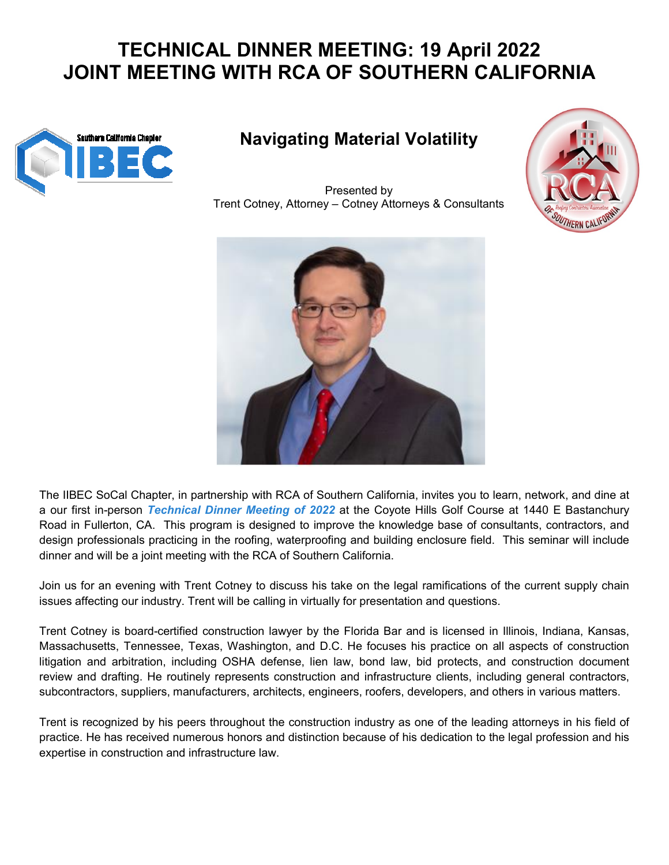## **TECHNICAL DINNER MEETING: 19 April 202 JOINT MEETING WITH RCA OF SOUTHERN CALIFORNIA**



## **Navigating Material Volatility**

Trent Cotney Cotney, Attorney – Cotney Attorneys & Consultants Presented by





The IIBEC SoCal Chapter, in partnership with RCA of Southern California, invites you to learn, network, and dine at a our first in-person *Technical Dinner Meeting of 2022* at the Coyote Hills Golf Course at 1440 E Bastanchury Road in Fullerton, CA. This program is designed to improve the knowledge base of consultants, contractors, and a our first in-person *Technical Dinner Meeting of 2022* at the Coyote Hills Golf Course at 1440 E Bastanchury<br>Road in Fullerton, CA. This program is designed to improve the knowledge base of consultants, contractors, and dinner and will be a joint meeting with the RCA of Southern California.

Join us for an evening with Trent Cotney to discuss his take on the legal ramifications of the current supply chain issues affecting our industry. Trent will be calling in virtually for presentation and questions.

Trent Cotney is board-certified construction lawyer by the Florida Bar and is licensed in Illinois, Indiana, Kansas, issues affecting our industry. Trent will be calling in virtually for presentation and questions.<br>Trent Cotney is board-certified construction lawyer by the Florida Bar and is licensed in Illinois, Indiana, Kansas,<br>Massach litigation and arbitration, including OSHA defense, lien law, bond law, bid protects, and construction document review and drafting. He routinely represents construction and infrastructure clients, including general contractors, subcontractors, suppliers, manufacturers, architects, engineers, roofers, developers, and others in various matters. legal ramifications of the current supply chain<br>tation and questions.<br>ar and is licensed in Illinois, Indiana, Kansas,<br>es his practice on all aspects of construction<br>aw, bid protects, and construction document<br>tructure cli

Trent is recognized by his peers throughout the construction industry as one of the leading attorneys in his field of practice. He has received numerous honors and distinction because of his dedication to the legal profession and his expertise in construction and infrastructure law.